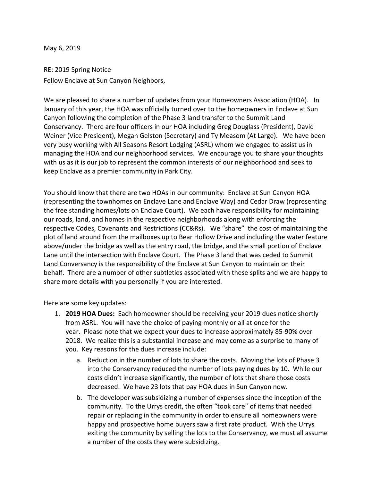May 6, 2019

RE: 2019 Spring Notice Fellow Enclave at Sun Canyon Neighbors,

We are pleased to share a number of updates from your Homeowners Association (HOA). In January of this year, the HOA was officially turned over to the homeowners in Enclave at Sun Canyon following the completion of the Phase 3 land transfer to the Summit Land Conservancy. There are four officers in our HOA including Greg Douglass (President), David Weiner (Vice President), Megan Gelston (Secretary) and Ty Measom (At Large). We have been very busy working with All Seasons Resort Lodging (ASRL) whom we engaged to assist us in managing the HOA and our neighborhood services. We encourage you to share your thoughts with us as it is our job to represent the common interests of our neighborhood and seek to keep Enclave as a premier community in Park City.

You should know that there are two HOAs in our community: Enclave at Sun Canyon HOA (representing the townhomes on Enclave Lane and Enclave Way) and Cedar Draw (representing the free standing homes/lots on Enclave Court). We each have responsibility for maintaining our roads, land, and homes in the respective neighborhoods along with enforcing the respective Codes, Covenants and Restrictions (CC&Rs). We "share" the cost of maintaining the plot of land around from the mailboxes up to Bear Hollow Drive and including the water feature above/under the bridge as well as the entry road, the bridge, and the small portion of Enclave Lane until the intersection with Enclave Court. The Phase 3 land that was ceded to Summit Land Conversancy is the responsibility of the Enclave at Sun Canyon to maintain on their behalf. There are a number of other subtleties associated with these splits and we are happy to share more details with you personally if you are interested.

Here are some key updates:

- 1. **2019 HOA Dues:** Each homeowner should be receiving your 2019 dues notice shortly from ASRL. You will have the choice of paying monthly or all at once for the year. Please note that we expect your dues to increase approximately 85-90% over 2018. We realize this is a substantial increase and may come as a surprise to many of you. Key reasons for the dues increase include:
	- a. Reduction in the number of lots to share the costs. Moving the lots of Phase 3 into the Conservancy reduced the number of lots paying dues by 10. While our costs didn't increase significantly, the number of lots that share those costs decreased. We have 23 lots that pay HOA dues in Sun Canyon now.
	- b. The developer was subsidizing a number of expenses since the inception of the community. To the Urrys credit, the often "took care" of items that needed repair or replacing in the community in order to ensure all homeowners were happy and prospective home buyers saw a first rate product. With the Urrys exiting the community by selling the lots to the Conservancy, we must all assume a number of the costs they were subsidizing.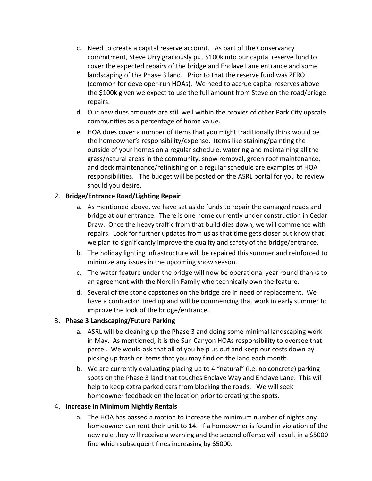- c. Need to create a capital reserve account. As part of the Conservancy commitment, Steve Urry graciously put \$100k into our capital reserve fund to cover the expected repairs of the bridge and Enclave Lane entrance and some landscaping of the Phase 3 land. Prior to that the reserve fund was ZERO (common for developer-run HOAs). We need to accrue capital reserves above the \$100k given we expect to use the full amount from Steve on the road/bridge repairs.
- d. Our new dues amounts are still well within the proxies of other Park City upscale communities as a percentage of home value.
- e. HOA dues cover a number of items that you might traditionally think would be the homeowner's responsibility/expense. Items like staining/painting the outside of your homes on a regular schedule, watering and maintaining all the grass/natural areas in the community, snow removal, green roof maintenance, and deck maintenance/refinishing on a regular schedule are examples of HOA responsibilities. The budget will be posted on the ASRL portal for you to review should you desire.

## 2. **Bridge/Entrance Road/Lighting Repair**

- a. As mentioned above, we have set aside funds to repair the damaged roads and bridge at our entrance. There is one home currently under construction in Cedar Draw. Once the heavy traffic from that build dies down, we will commence with repairs. Look for further updates from us as that time gets closer but know that we plan to significantly improve the quality and safety of the bridge/entrance.
- b. The holiday lighting infrastructure will be repaired this summer and reinforced to minimize any issues in the upcoming snow season.
- c. The water feature under the bridge will now be operational year round thanks to an agreement with the Nordlin Family who technically own the feature.
- d. Several of the stone capstones on the bridge are in need of replacement. We have a contractor lined up and will be commencing that work in early summer to improve the look of the bridge/entrance.

## 3. **Phase 3 Landscaping/Future Parking**

- a. ASRL will be cleaning up the Phase 3 and doing some minimal landscaping work in May. As mentioned, it is the Sun Canyon HOAs responsibility to oversee that parcel. We would ask that all of you help us out and keep our costs down by picking up trash or items that you may find on the land each month.
- b. We are currently evaluating placing up to 4 "natural" (i.e. no concrete) parking spots on the Phase 3 land that touches Enclave Way and Enclave Lane. This will help to keep extra parked cars from blocking the roads. We will seek homeowner feedback on the location prior to creating the spots.

## 4. **Increase in Minimum Nightly Rentals**

a. The HOA has passed a motion to increase the minimum number of nights any homeowner can rent their unit to 14. If a homeowner is found in violation of the new rule they will receive a warning and the second offense will result in a \$5000 fine which subsequent fines increasing by \$5000.